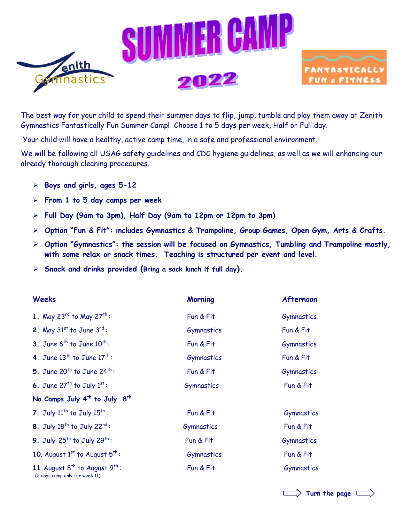



The best way for your child to spend their summer days to flip, jump, tumble and play them away at Zenith Gymnastics Fantastically Fun Summer Camp! Choose 1 to 5 days per week, Half or Full day.

Your child will have a healthy, active camp time, in a safe and professional environment.

We will be following all USAG safety guidelines and CDC hygiene guidelines, as well as we will enhancing our already thorough cleaning procedures.

- **Boys and girls, ages 5-12**
- **From 1 to 5 day camps per week**
- **Full Day (9am to 3pm), Half Day (9am to 12pm or 12pm to 3pm)**
- **Option "Fun & Fit": includes Gymnastics & Trampoline, Group Games, Open Gym, Arts & Crafts.**
- **Option "Gymnastics": the session will be focused on Gymnastics, Tumbling and Trampoline mostly, with some relax or snack times. Teaching is structured per event and level.**
- **Snack and drinks provided (Bring a sack lunch if full day).**

| <b>Weeks</b>                                                               | <b>Morning</b> | Afternoon  |
|----------------------------------------------------------------------------|----------------|------------|
| 1. May 23 <sup>rd</sup> to May 27 <sup>th</sup> :                          | Fun & Fit      | Gymnastics |
| 2. May $31^{st}$ to June $3^{rd}$ :                                        | Gymnastics     | Fun & Fit  |
| 3. June $6^{th}$ to June $10^{th}$ :                                       | Fun & Fit      | Gymnastics |
| 4. June $13^{th}$ to June $17^{th}$ :                                      | Gymnastics     | Fun & Fit  |
| 5. June 20 <sup>th</sup> to June 24 <sup>th</sup> :                        | Fun & Fit      | Gymnastics |
| 6. June $27^{th}$ to July $1^{st}$ :                                       | Gymnastics     | Fun & Fit  |
| No Camps July 4 <sup>th</sup> to July 8 <sup>th</sup>                      |                |            |
| 7. July $11^{th}$ to July $15^{th}$ :                                      | Fun & Fit      | Gymnastics |
| 8. July $18^{th}$ to July $22^{nd}$ :                                      | Gymnastics     | Fun & Fit  |
| 9. July $25^{th}$ to July $29^{th}$ :                                      | Fun & Fit      | Gymnastics |
| 10. August $1st$ to August $5th$ :                                         | Gymnastics     | Fun & Fit  |
| 11. August $8^{th}$ to August $9^{th}$ :<br>(2 days camp only for week 11) | Fun & Fit      | Gymnastics |